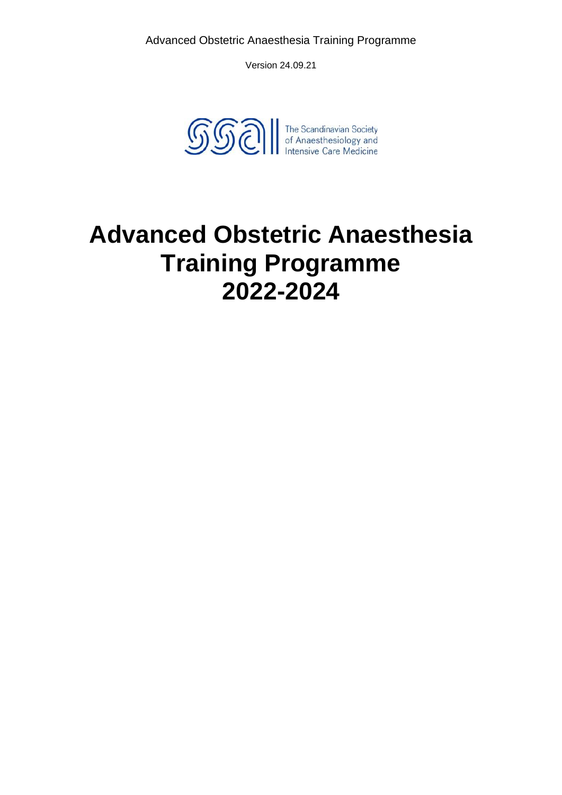

# **Advanced Obstetric Anaesthesia Training Programme 2022-2024**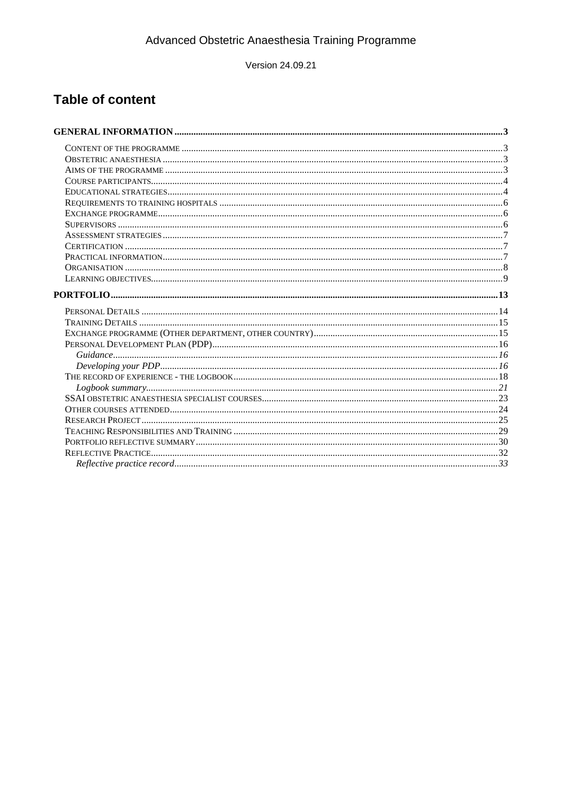Version 24.09.21

## **Table of content**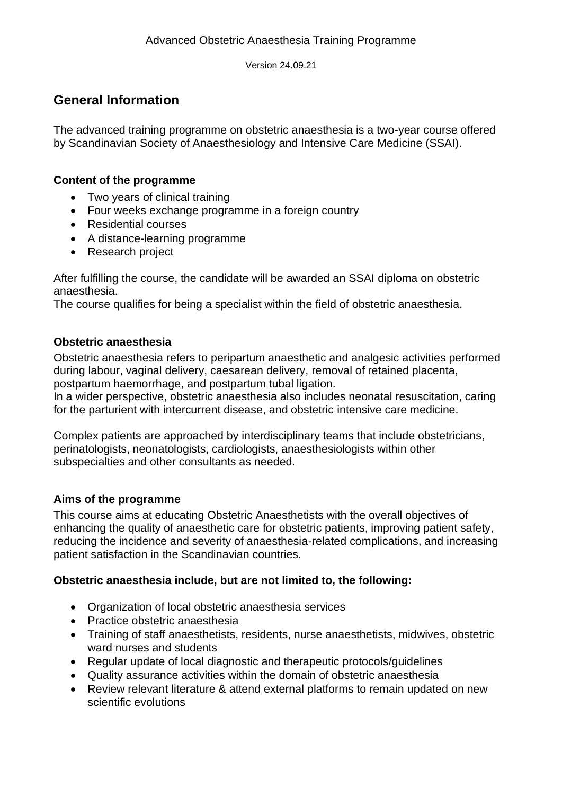## <span id="page-2-0"></span>**General Information**

The advanced training programme on obstetric anaesthesia is a two-year course offered by Scandinavian Society of Anaesthesiology and Intensive Care Medicine (SSAI).

#### <span id="page-2-1"></span>**Content of the programme**

- Two years of clinical training
- Four weeks exchange programme in a foreign country
- Residential courses
- A distance-learning programme
- Research project

After fulfilling the course, the candidate will be awarded an SSAI diploma on obstetric anaesthesia.

The course qualifies for being a specialist within the field of obstetric anaesthesia.

#### <span id="page-2-2"></span>**Obstetric anaesthesia**

Obstetric anaesthesia refers to peripartum anaesthetic and analgesic activities performed during labour, vaginal delivery, caesarean delivery, removal of retained placenta, postpartum haemorrhage, and postpartum tubal ligation.

In a wider perspective, obstetric anaesthesia also includes neonatal resuscitation, caring for the parturient with intercurrent disease, and obstetric intensive care medicine.

Complex patients are approached by interdisciplinary teams that include obstetricians, perinatologists, neonatologists, cardiologists, anaesthesiologists within other subspecialties and other consultants as needed.

#### <span id="page-2-3"></span>**Aims of the programme**

This course aims at educating Obstetric Anaesthetists with the overall objectives of enhancing the quality of anaesthetic care for obstetric patients, improving patient safety, reducing the incidence and severity of anaesthesia-related complications, and increasing patient satisfaction in the Scandinavian countries.

#### **Obstetric anaesthesia include, but are not limited to, the following:**

- Organization of local obstetric anaesthesia services
- Practice obstetric anaesthesia
- Training of staff anaesthetists, residents, nurse anaesthetists, midwives, obstetric ward nurses and students
- Regular update of local diagnostic and therapeutic protocols/guidelines
- Quality assurance activities within the domain of obstetric anaesthesia
- Review relevant literature & attend external platforms to remain updated on new scientific evolutions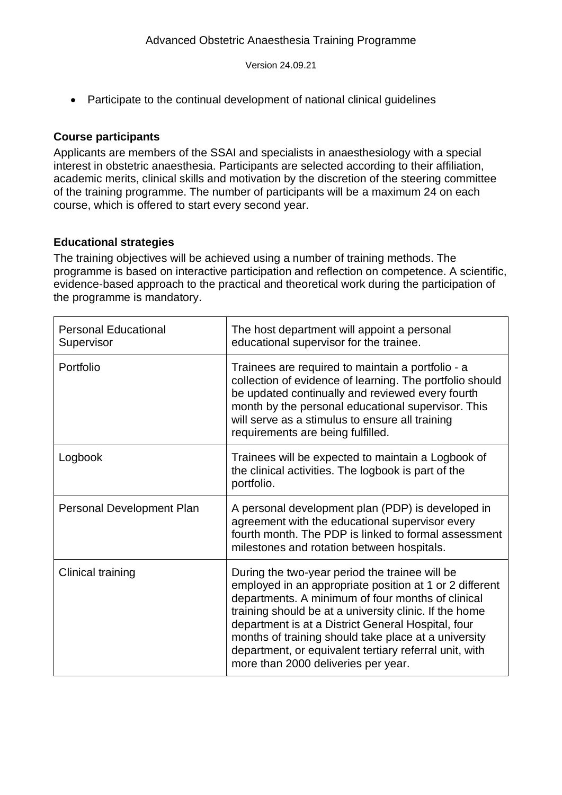• Participate to the continual development of national clinical quidelines

#### <span id="page-3-0"></span>**Course participants**

Applicants are members of the SSAI and specialists in anaesthesiology with a special interest in obstetric anaesthesia. Participants are selected according to their affiliation, academic merits, clinical skills and motivation by the discretion of the steering committee of the training programme. The number of participants will be a maximum 24 on each course, which is offered to start every second year.

#### <span id="page-3-1"></span>**Educational strategies**

The training objectives will be achieved using a number of training methods. The programme is based on interactive participation and reflection on competence. A scientific, evidence-based approach to the practical and theoretical work during the participation of the programme is mandatory.

| <b>Personal Educational</b><br>Supervisor | The host department will appoint a personal<br>educational supervisor for the trainee.                                                                                                                                                                                                                                                                                                                                                  |
|-------------------------------------------|-----------------------------------------------------------------------------------------------------------------------------------------------------------------------------------------------------------------------------------------------------------------------------------------------------------------------------------------------------------------------------------------------------------------------------------------|
| Portfolio                                 | Trainees are required to maintain a portfolio - a<br>collection of evidence of learning. The portfolio should<br>be updated continually and reviewed every fourth<br>month by the personal educational supervisor. This<br>will serve as a stimulus to ensure all training<br>requirements are being fulfilled.                                                                                                                         |
| Logbook                                   | Trainees will be expected to maintain a Logbook of<br>the clinical activities. The logbook is part of the<br>portfolio.                                                                                                                                                                                                                                                                                                                 |
| Personal Development Plan                 | A personal development plan (PDP) is developed in<br>agreement with the educational supervisor every<br>fourth month. The PDP is linked to formal assessment<br>milestones and rotation between hospitals.                                                                                                                                                                                                                              |
| Clinical training                         | During the two-year period the trainee will be<br>employed in an appropriate position at 1 or 2 different<br>departments. A minimum of four months of clinical<br>training should be at a university clinic. If the home<br>department is at a District General Hospital, four<br>months of training should take place at a university<br>department, or equivalent tertiary referral unit, with<br>more than 2000 deliveries per year. |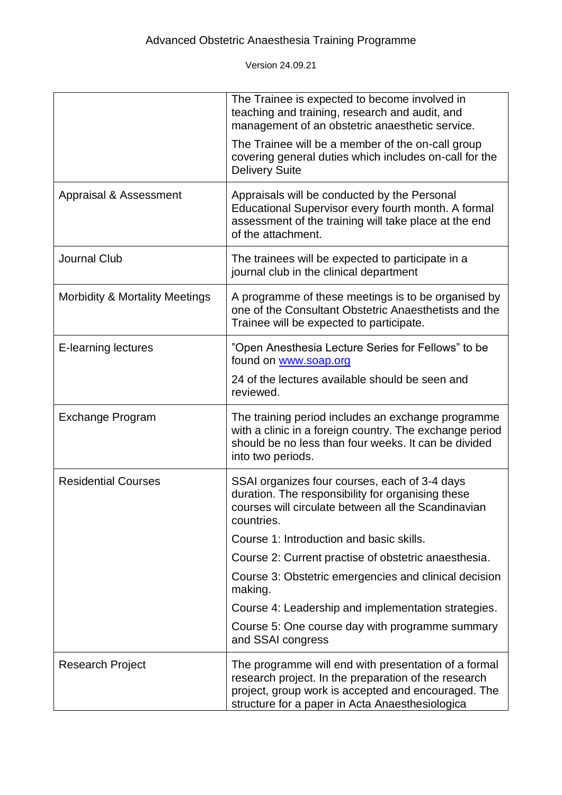|                                           | The Trainee is expected to become involved in<br>teaching and training, research and audit, and<br>management of an obstetric anaesthetic service.                                                                     |
|-------------------------------------------|------------------------------------------------------------------------------------------------------------------------------------------------------------------------------------------------------------------------|
|                                           | The Trainee will be a member of the on-call group<br>covering general duties which includes on-call for the<br><b>Delivery Suite</b>                                                                                   |
| Appraisal & Assessment                    | Appraisals will be conducted by the Personal<br>Educational Supervisor every fourth month. A formal<br>assessment of the training will take place at the end<br>of the attachment.                                     |
| <b>Journal Club</b>                       | The trainees will be expected to participate in a<br>journal club in the clinical department                                                                                                                           |
| <b>Morbidity &amp; Mortality Meetings</b> | A programme of these meetings is to be organised by<br>one of the Consultant Obstetric Anaesthetists and the<br>Trainee will be expected to participate.                                                               |
| E-learning lectures                       | "Open Anesthesia Lecture Series for Fellows" to be<br>found on www.soap.org                                                                                                                                            |
|                                           | 24 of the lectures available should be seen and<br>reviewed.                                                                                                                                                           |
| <b>Exchange Program</b>                   | The training period includes an exchange programme<br>with a clinic in a foreign country. The exchange period<br>should be no less than four weeks. It can be divided<br>into two periods.                             |
| <b>Residential Courses</b>                | SSAI organizes four courses, each of 3-4 days<br>duration. The responsibility for organising these<br>courses will circulate between all the Scandinavian<br>countries.                                                |
|                                           | Course 1: Introduction and basic skills.                                                                                                                                                                               |
|                                           | Course 2: Current practise of obstetric anaesthesia.                                                                                                                                                                   |
|                                           | Course 3: Obstetric emergencies and clinical decision<br>making.                                                                                                                                                       |
|                                           | Course 4: Leadership and implementation strategies.                                                                                                                                                                    |
|                                           | Course 5: One course day with programme summary<br>and SSAI congress                                                                                                                                                   |
| <b>Research Project</b>                   | The programme will end with presentation of a formal<br>research project. In the preparation of the research<br>project, group work is accepted and encouraged. The<br>structure for a paper in Acta Anaesthesiologica |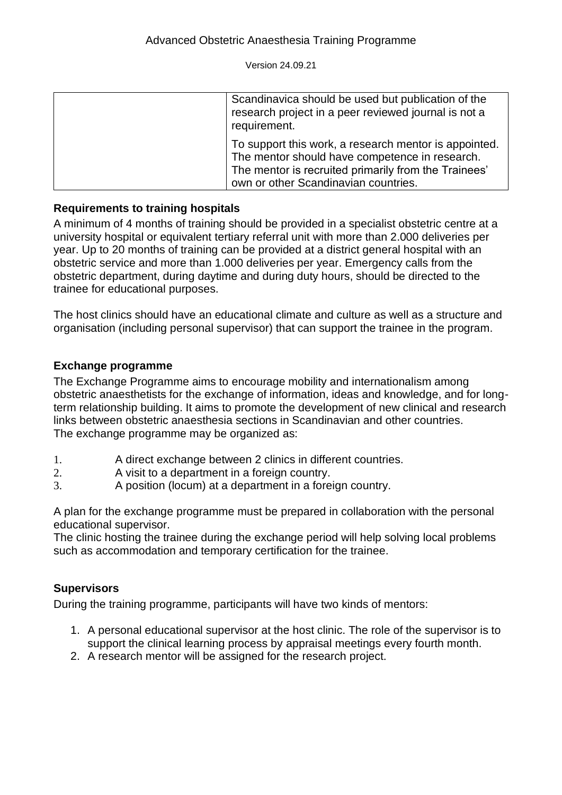| Scandinavica should be used but publication of the<br>research project in a peer reviewed journal is not a<br>requirement.                                                                              |
|---------------------------------------------------------------------------------------------------------------------------------------------------------------------------------------------------------|
| To support this work, a research mentor is appointed.<br>The mentor should have competence in research.<br>The mentor is recruited primarily from the Trainees'<br>own or other Scandinavian countries. |

#### <span id="page-5-0"></span>**Requirements to training hospitals**

A minimum of 4 months of training should be provided in a specialist obstetric centre at a university hospital or equivalent tertiary referral unit with more than 2.000 deliveries per year. Up to 20 months of training can be provided at a district general hospital with an obstetric service and more than 1.000 deliveries per year. Emergency calls from the obstetric department, during daytime and during duty hours, should be directed to the trainee for educational purposes.

The host clinics should have an educational climate and culture as well as a structure and organisation (including personal supervisor) that can support the trainee in the program.

#### <span id="page-5-1"></span>**Exchange programme**

The Exchange Programme aims to encourage mobility and internationalism among obstetric anaesthetists for the exchange of information, ideas and knowledge, and for longterm relationship building. It aims to promote the development of new clinical and research links between obstetric anaesthesia sections in Scandinavian and other countries. The exchange programme may be organized as:

- 1. A direct exchange between 2 clinics in different countries.
- 2. A visit to a department in a foreign country.
- 3. A position (locum) at a department in a foreign country.

A plan for the exchange programme must be prepared in collaboration with the personal educational supervisor.

The clinic hosting the trainee during the exchange period will help solving local problems such as accommodation and temporary certification for the trainee.

#### <span id="page-5-2"></span>**Supervisors**

During the training programme, participants will have two kinds of mentors:

- 1. A personal educational supervisor at the host clinic. The role of the supervisor is to support the clinical learning process by appraisal meetings every fourth month.
- 2. A research mentor will be assigned for the research project.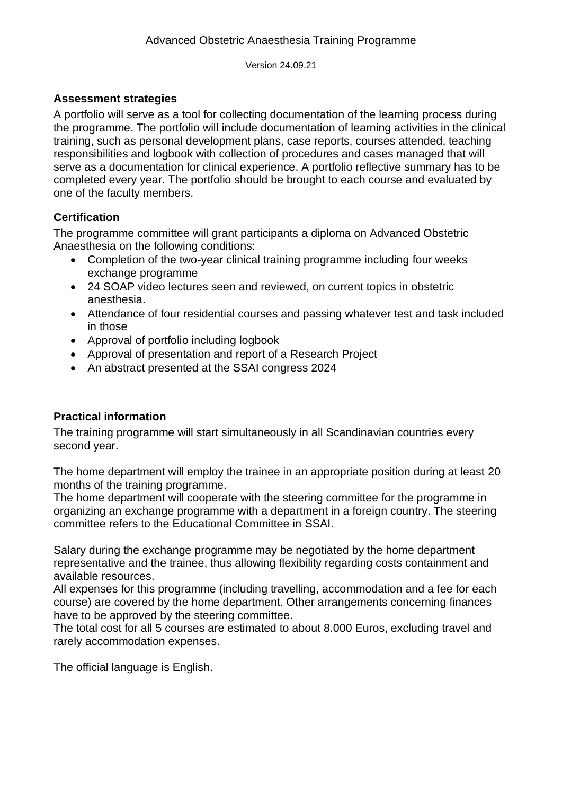#### <span id="page-6-0"></span>**Assessment strategies**

A portfolio will serve as a tool for collecting documentation of the learning process during the programme. The portfolio will include documentation of learning activities in the clinical training, such as personal development plans, case reports, courses attended, teaching responsibilities and logbook with collection of procedures and cases managed that will serve as a documentation for clinical experience. A portfolio reflective summary has to be completed every year. The portfolio should be brought to each course and evaluated by one of the faculty members.

#### <span id="page-6-1"></span>**Certification**

The programme committee will grant participants a diploma on Advanced Obstetric Anaesthesia on the following conditions:

- Completion of the two-year clinical training programme including four weeks exchange programme
- 24 SOAP video lectures seen and reviewed, on current topics in obstetric anesthesia.
- Attendance of four residential courses and passing whatever test and task included in those
- Approval of portfolio including logbook
- Approval of presentation and report of a Research Project
- <span id="page-6-2"></span>• An abstract presented at the SSAI congress 2024

#### **Practical information**

The training programme will start simultaneously in all Scandinavian countries every second year.

The home department will employ the trainee in an appropriate position during at least 20 months of the training programme.

The home department will cooperate with the steering committee for the programme in organizing an exchange programme with a department in a foreign country. The steering committee refers to the Educational Committee in SSAI.

Salary during the exchange programme may be negotiated by the home department representative and the trainee, thus allowing flexibility regarding costs containment and available resources.

All expenses for this programme (including travelling, accommodation and a fee for each course) are covered by the home department. Other arrangements concerning finances have to be approved by the steering committee.

The total cost for all 5 courses are estimated to about 8.000 Euros, excluding travel and rarely accommodation expenses.

The official language is English.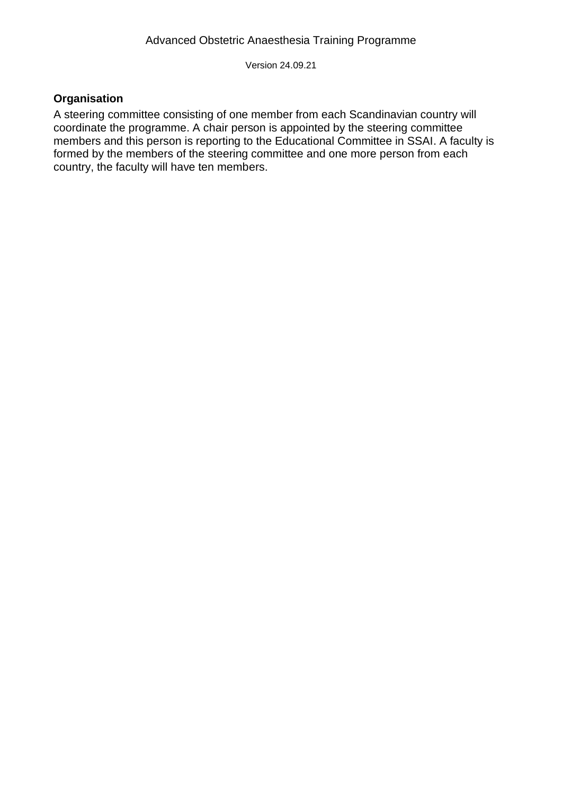#### <span id="page-7-0"></span>**Organisation**

A steering committee consisting of one member from each Scandinavian country will coordinate the programme. A chair person is appointed by the steering committee members and this person is reporting to the Educational Committee in SSAI. A faculty is formed by the members of the steering committee and one more person from each country, the faculty will have ten members.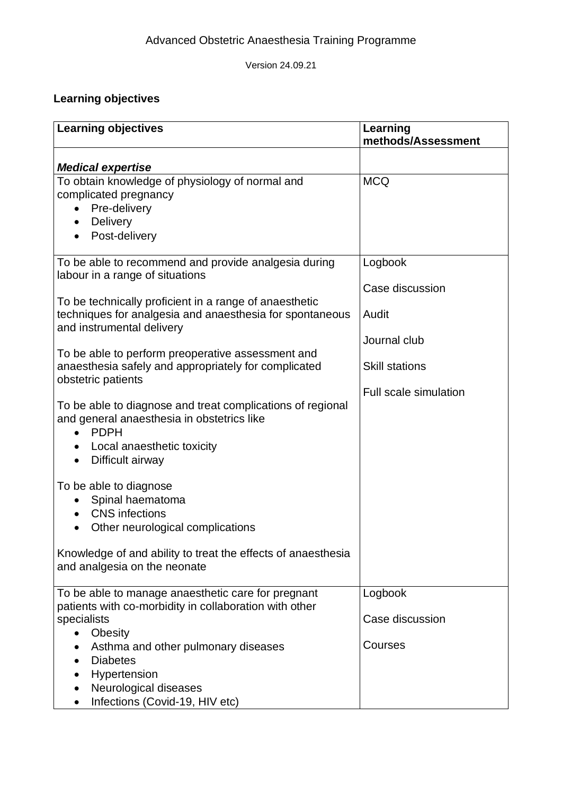## <span id="page-8-0"></span>**Learning objectives**

| <b>Learning objectives</b>                                                                                                                                                                                                    | Learning<br>methods/Assessment |
|-------------------------------------------------------------------------------------------------------------------------------------------------------------------------------------------------------------------------------|--------------------------------|
|                                                                                                                                                                                                                               |                                |
| <b>Medical expertise</b>                                                                                                                                                                                                      |                                |
| To obtain knowledge of physiology of normal and<br>complicated pregnancy<br>Pre-delivery<br>$\bullet$<br><b>Delivery</b><br>$\bullet$<br>Post-delivery<br>$\bullet$                                                           | <b>MCQ</b>                     |
| To be able to recommend and provide analgesia during                                                                                                                                                                          | Logbook                        |
| labour in a range of situations                                                                                                                                                                                               |                                |
| To be technically proficient in a range of anaesthetic                                                                                                                                                                        | Case discussion                |
| techniques for analgesia and anaesthesia for spontaneous<br>and instrumental delivery                                                                                                                                         | Audit                          |
|                                                                                                                                                                                                                               | Journal club                   |
| To be able to perform preoperative assessment and<br>anaesthesia safely and appropriately for complicated<br>obstetric patients                                                                                               | <b>Skill stations</b>          |
| To be able to diagnose and treat complications of regional<br>and general anaesthesia in obstetrics like<br><b>PDPH</b><br>Local anaesthetic toxicity<br>$\bullet$<br>Difficult airway<br>$\bullet$<br>To be able to diagnose | <b>Full scale simulation</b>   |
| Spinal haematoma                                                                                                                                                                                                              |                                |
| <b>CNS</b> infections<br>$\bullet$                                                                                                                                                                                            |                                |
| Other neurological complications                                                                                                                                                                                              |                                |
| Knowledge of and ability to treat the effects of anaesthesia<br>and analgesia on the neonate                                                                                                                                  |                                |
| To be able to manage anaesthetic care for pregnant                                                                                                                                                                            | Logbook                        |
| patients with co-morbidity in collaboration with other<br>specialists                                                                                                                                                         | Case discussion                |
| <b>Obesity</b><br>$\bullet$<br>Asthma and other pulmonary diseases                                                                                                                                                            | Courses                        |
| <b>Diabetes</b>                                                                                                                                                                                                               |                                |
| Hypertension                                                                                                                                                                                                                  |                                |
| Neurological diseases                                                                                                                                                                                                         |                                |
| Infections (Covid-19, HIV etc)                                                                                                                                                                                                |                                |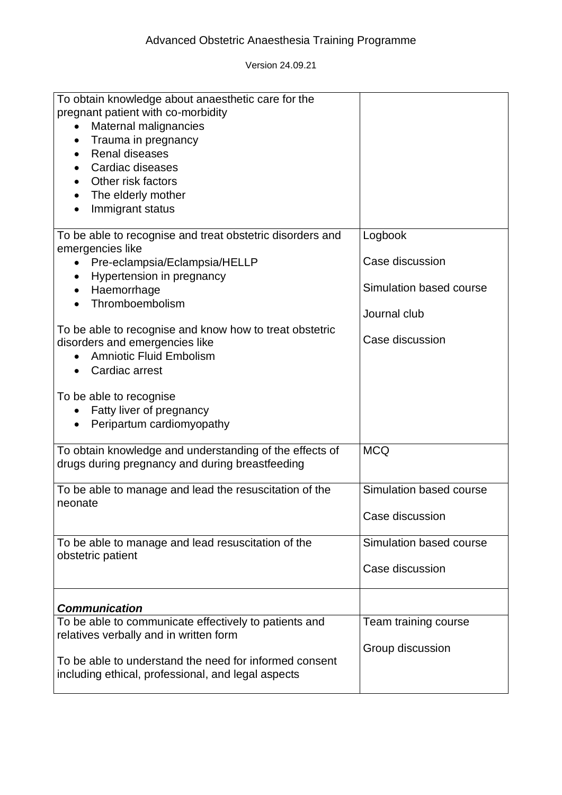| To obtain knowledge about anaesthetic care for the<br>pregnant patient with co-morbidity<br>Maternal malignancies<br>$\bullet$<br>Trauma in pregnancy<br><b>Renal diseases</b><br>Cardiac diseases<br>Other risk factors<br>The elderly mother<br>Immigrant status |                                            |
|--------------------------------------------------------------------------------------------------------------------------------------------------------------------------------------------------------------------------------------------------------------------|--------------------------------------------|
| To be able to recognise and treat obstetric disorders and<br>emergencies like<br>Pre-eclampsia/Eclampsia/HELLP<br>Hypertension in pregnancy                                                                                                                        | Logbook<br>Case discussion                 |
| Haemorrhage<br>$\bullet$<br>Thromboembolism                                                                                                                                                                                                                        | Simulation based course<br>Journal club    |
| To be able to recognise and know how to treat obstetric<br>disorders and emergencies like<br><b>Amniotic Fluid Embolism</b><br>Cardiac arrest                                                                                                                      | Case discussion                            |
| To be able to recognise<br>Fatty liver of pregnancy<br>Peripartum cardiomyopathy                                                                                                                                                                                   |                                            |
| To obtain knowledge and understanding of the effects of<br>drugs during pregnancy and during breastfeeding                                                                                                                                                         | <b>MCQ</b>                                 |
| To be able to manage and lead the resuscitation of the<br>neonate                                                                                                                                                                                                  | Simulation based course<br>Case discussion |
| To be able to manage and lead resuscitation of the<br>obstetric patient                                                                                                                                                                                            | Simulation based course<br>Case discussion |
| <b>Communication</b>                                                                                                                                                                                                                                               |                                            |
| To be able to communicate effectively to patients and<br>relatives verbally and in written form                                                                                                                                                                    | Team training course                       |
| To be able to understand the need for informed consent<br>including ethical, professional, and legal aspects                                                                                                                                                       | Group discussion                           |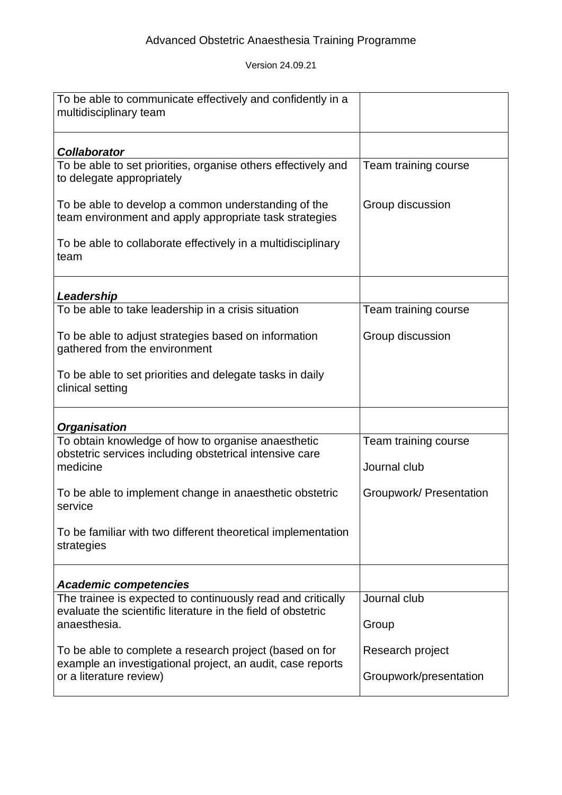| To be able to communicate effectively and confidently in a<br>multidisciplinary team                                        |                         |
|-----------------------------------------------------------------------------------------------------------------------------|-------------------------|
| <b>Collaborator</b>                                                                                                         |                         |
| To be able to set priorities, organise others effectively and<br>to delegate appropriately                                  | Team training course    |
| To be able to develop a common understanding of the<br>team environment and apply appropriate task strategies               | Group discussion        |
| To be able to collaborate effectively in a multidisciplinary<br>team                                                        |                         |
| Leadership                                                                                                                  |                         |
| To be able to take leadership in a crisis situation                                                                         | Team training course    |
| To be able to adjust strategies based on information<br>gathered from the environment                                       | Group discussion        |
| To be able to set priorities and delegate tasks in daily<br>clinical setting                                                |                         |
| <b>Organisation</b>                                                                                                         |                         |
| To obtain knowledge of how to organise anaesthetic<br>obstetric services including obstetrical intensive care               | Team training course    |
| medicine                                                                                                                    | Journal club            |
| To be able to implement change in anaesthetic obstetric<br>service                                                          | Groupwork/ Presentation |
| To be familiar with two different theoretical implementation<br>strategies                                                  |                         |
| <b>Academic competencies</b>                                                                                                |                         |
| The trainee is expected to continuously read and critically<br>evaluate the scientific literature in the field of obstetric | Journal club            |
| anaesthesia.                                                                                                                | Group                   |
| To be able to complete a research project (based on for                                                                     | Research project        |
| example an investigational project, an audit, case reports<br>or a literature review)                                       | Groupwork/presentation  |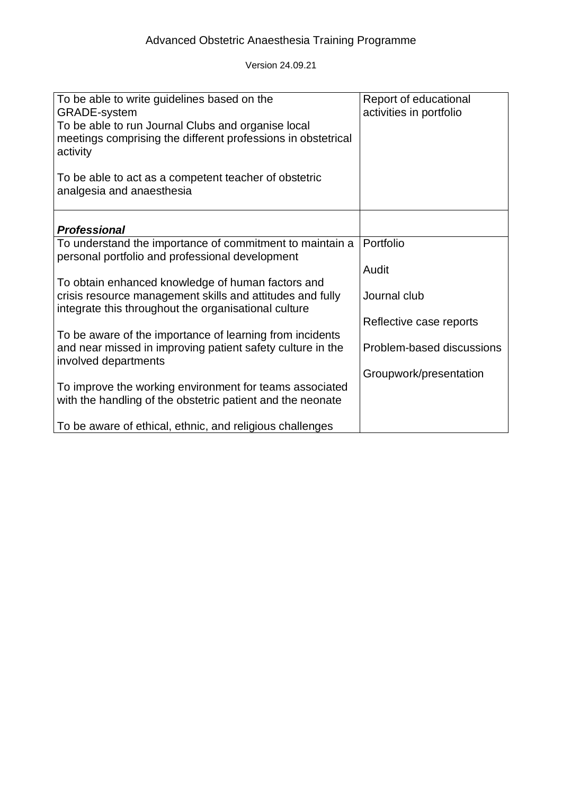| To be able to write guidelines based on the<br><b>GRADE-system</b><br>To be able to run Journal Clubs and organise local<br>meetings comprising the different professions in obstetrical<br>activity | Report of educational<br>activities in portfolio |
|------------------------------------------------------------------------------------------------------------------------------------------------------------------------------------------------------|--------------------------------------------------|
| To be able to act as a competent teacher of obstetric<br>analgesia and anaesthesia                                                                                                                   |                                                  |
| <b>Professional</b>                                                                                                                                                                                  |                                                  |
| To understand the importance of commitment to maintain a<br>personal portfolio and professional development                                                                                          | Portfolio                                        |
|                                                                                                                                                                                                      | Audit                                            |
| To obtain enhanced knowledge of human factors and<br>crisis resource management skills and attitudes and fully<br>integrate this throughout the organisational culture                               | Journal club                                     |
|                                                                                                                                                                                                      | Reflective case reports                          |
| To be aware of the importance of learning from incidents<br>and near missed in improving patient safety culture in the<br>involved departments                                                       | Problem-based discussions                        |
|                                                                                                                                                                                                      | Groupwork/presentation                           |
| To improve the working environment for teams associated<br>with the handling of the obstetric patient and the neonate                                                                                |                                                  |
| To be aware of ethical, ethnic, and religious challenges                                                                                                                                             |                                                  |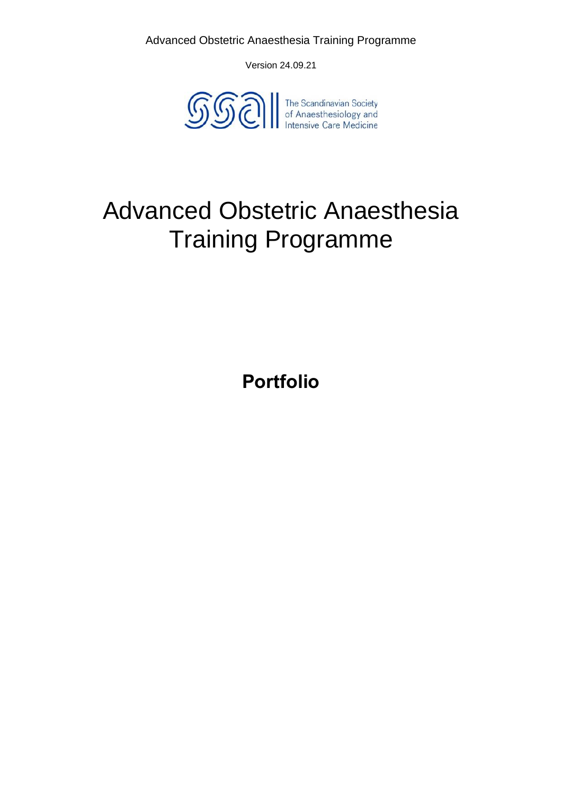Version 24.09.21



# <span id="page-12-0"></span>Advanced Obstetric Anaesthesia Training Programme

**Portfolio**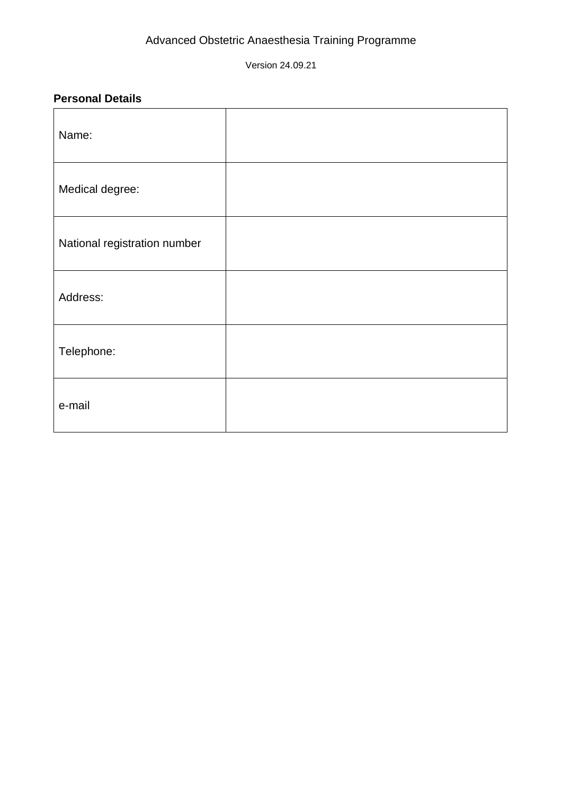Version 24.09.21

#### <span id="page-13-0"></span>**Personal Details**

| Name:                        |  |
|------------------------------|--|
| Medical degree:              |  |
| National registration number |  |
| Address:                     |  |
| Telephone:                   |  |
| e-mail                       |  |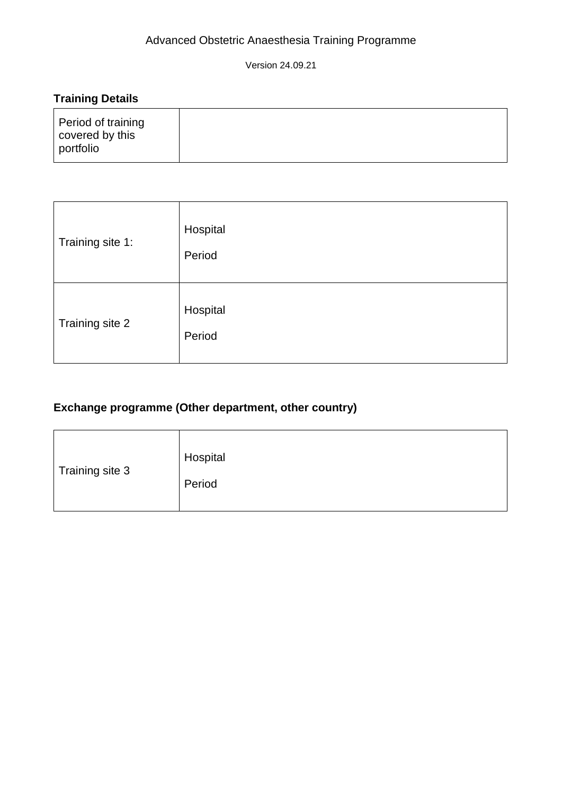Version 24.09.21

## <span id="page-14-0"></span>**Training Details**

| Period of training | covered by this<br>portfolio |
|--------------------|------------------------------|
|--------------------|------------------------------|

| Training site 1: | Hospital<br>Period |
|------------------|--------------------|
| Training site 2  | Hospital<br>Period |

## <span id="page-14-1"></span>**Exchange programme (Other department, other country)**

| Training site 3<br>Period |  | Hospital |
|---------------------------|--|----------|
|---------------------------|--|----------|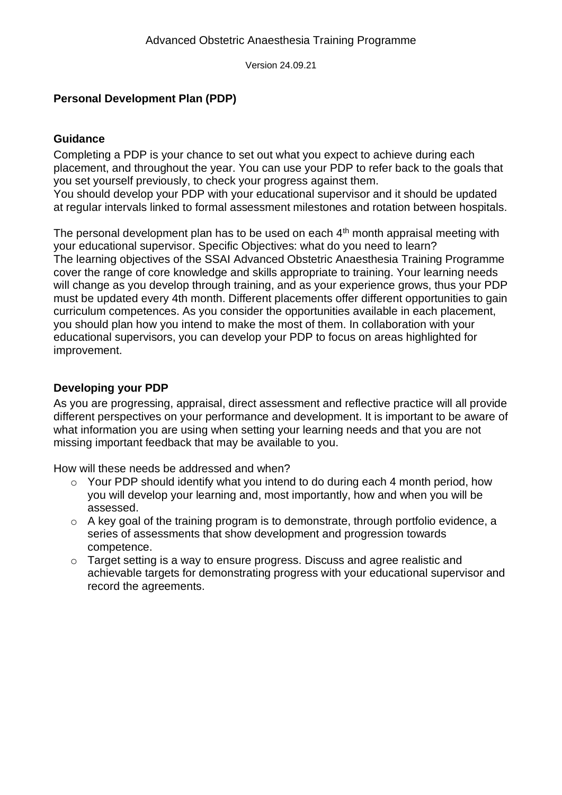#### <span id="page-15-0"></span>**Personal Development Plan (PDP)**

#### <span id="page-15-1"></span>**Guidance**

Completing a PDP is your chance to set out what you expect to achieve during each placement, and throughout the year. You can use your PDP to refer back to the goals that you set yourself previously, to check your progress against them.

You should develop your PDP with your educational supervisor and it should be updated at regular intervals linked to formal assessment milestones and rotation between hospitals.

The personal development plan has to be used on each  $4<sup>th</sup>$  month appraisal meeting with your educational supervisor. Specific Objectives: what do you need to learn? The learning objectives of the SSAI Advanced Obstetric Anaesthesia Training Programme cover the range of core knowledge and skills appropriate to training. Your learning needs will change as you develop through training, and as your experience grows, thus your PDP must be updated every 4th month. Different placements offer different opportunities to gain curriculum competences. As you consider the opportunities available in each placement, you should plan how you intend to make the most of them. In collaboration with your educational supervisors, you can develop your PDP to focus on areas highlighted for improvement.

#### <span id="page-15-2"></span>**Developing your PDP**

As you are progressing, appraisal, direct assessment and reflective practice will all provide different perspectives on your performance and development. It is important to be aware of what information you are using when setting your learning needs and that you are not missing important feedback that may be available to you.

How will these needs be addressed and when?

- o Your PDP should identify what you intend to do during each 4 month period, how you will develop your learning and, most importantly, how and when you will be assessed.
- o A key goal of the training program is to demonstrate, through portfolio evidence, a series of assessments that show development and progression towards competence.
- o Target setting is a way to ensure progress. Discuss and agree realistic and achievable targets for demonstrating progress with your educational supervisor and record the agreements.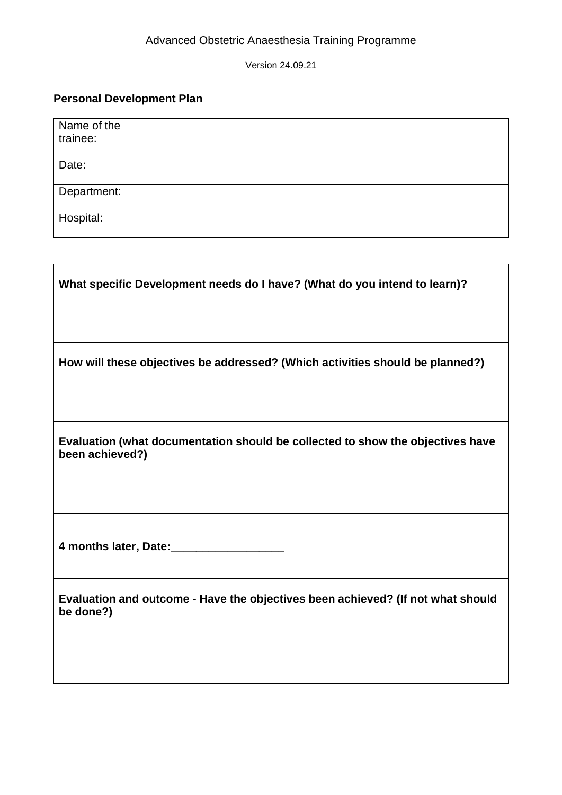## **Personal Development Plan**

| Name of the<br>trainee: |  |
|-------------------------|--|
| Date:                   |  |
| Department:             |  |
| Hospital:               |  |

| What specific Development needs do I have? (What do you intend to learn)?                         |
|---------------------------------------------------------------------------------------------------|
| How will these objectives be addressed? (Which activities should be planned?)                     |
| Evaluation (what documentation should be collected to show the objectives have<br>been achieved?) |
| 4 months later, Date:                                                                             |
| Evaluation and outcome - Have the objectives been achieved? (If not what should<br>be done?)      |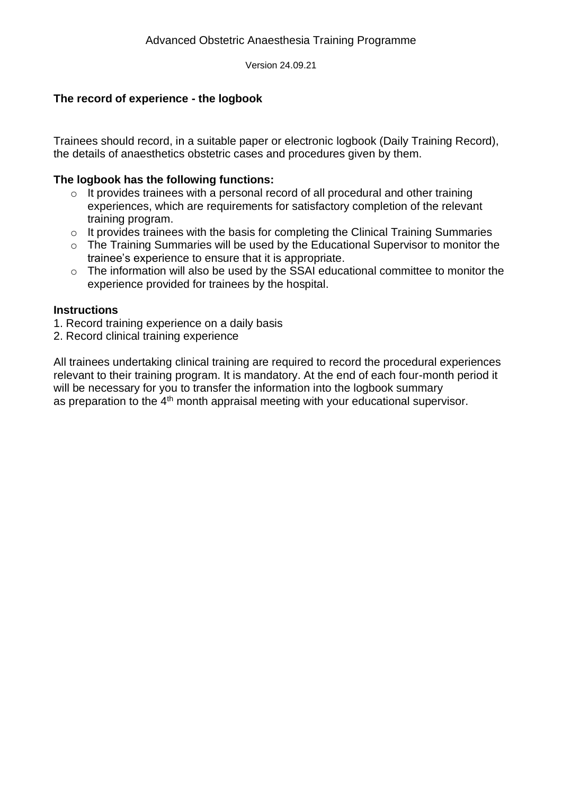#### <span id="page-17-0"></span>**The record of experience - the logbook**

Trainees should record, in a suitable paper or electronic logbook (Daily Training Record), the details of anaesthetics obstetric cases and procedures given by them.

#### **The logbook has the following functions:**

- $\circ$  It provides trainees with a personal record of all procedural and other training experiences, which are requirements for satisfactory completion of the relevant training program.
- o It provides trainees with the basis for completing the Clinical Training Summaries
- o The Training Summaries will be used by the Educational Supervisor to monitor the trainee's experience to ensure that it is appropriate.
- o The information will also be used by the SSAI educational committee to monitor the experience provided for trainees by the hospital.

#### **Instructions**

1. Record training experience on a daily basis

2. Record clinical training experience

All trainees undertaking clinical training are required to record the procedural experiences relevant to their training program. It is mandatory. At the end of each four-month period it will be necessary for you to transfer the information into the logbook summary as preparation to the 4<sup>th</sup> month appraisal meeting with your educational supervisor.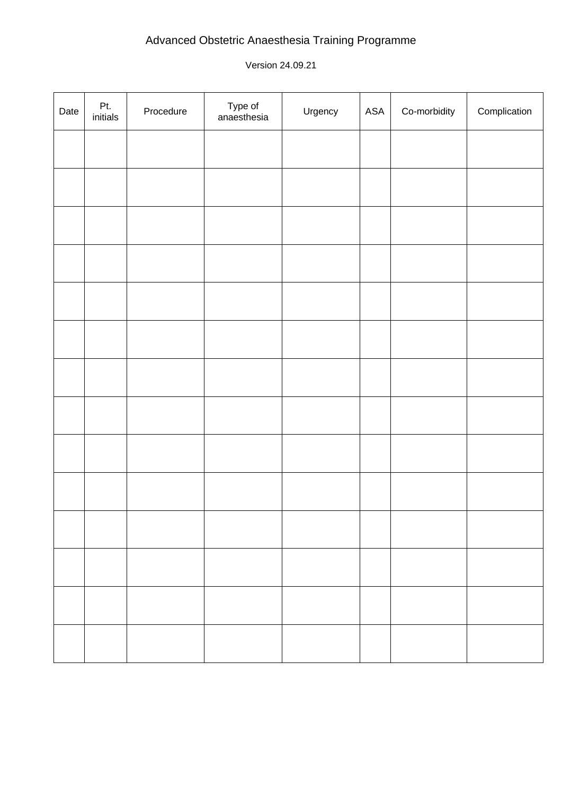| Date | Pt.<br>initials | Procedure | Type of<br>anaesthesia | Urgency | ASA | Co-morbidity | Complication |
|------|-----------------|-----------|------------------------|---------|-----|--------------|--------------|
|      |                 |           |                        |         |     |              |              |
|      |                 |           |                        |         |     |              |              |
|      |                 |           |                        |         |     |              |              |
|      |                 |           |                        |         |     |              |              |
|      |                 |           |                        |         |     |              |              |
|      |                 |           |                        |         |     |              |              |
|      |                 |           |                        |         |     |              |              |
|      |                 |           |                        |         |     |              |              |
|      |                 |           |                        |         |     |              |              |
|      |                 |           |                        |         |     |              |              |
|      |                 |           |                        |         |     |              |              |
|      |                 |           |                        |         |     |              |              |
|      |                 |           |                        |         |     |              |              |
|      |                 |           |                        |         |     |              |              |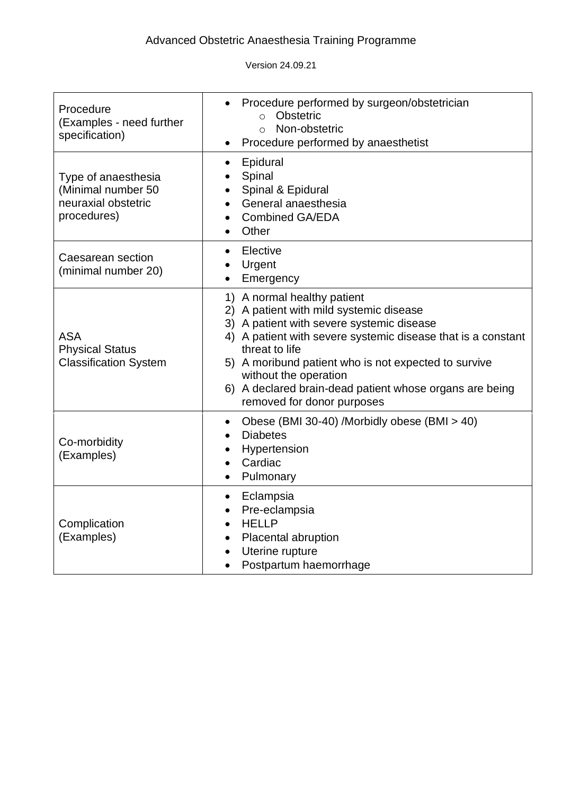| Procedure<br>(Examples - need further<br>specification)                         | Procedure performed by surgeon/obstetrician<br>Obstetric<br>$\Omega$<br>Non-obstetric<br>$\Omega$<br>Procedure performed by anaesthetist                                                                                                                                                                                                                                        |
|---------------------------------------------------------------------------------|---------------------------------------------------------------------------------------------------------------------------------------------------------------------------------------------------------------------------------------------------------------------------------------------------------------------------------------------------------------------------------|
| Type of anaesthesia<br>(Minimal number 50<br>neuraxial obstetric<br>procedures) | Epidural<br>$\bullet$<br>Spinal<br>Spinal & Epidural<br>General anaesthesia<br><b>Combined GA/EDA</b><br>$\bullet$<br>Other                                                                                                                                                                                                                                                     |
| Caesarean section<br>(minimal number 20)                                        | Elective<br>$\bullet$<br>Urgent<br>Emergency                                                                                                                                                                                                                                                                                                                                    |
| <b>ASA</b><br><b>Physical Status</b><br><b>Classification System</b>            | 1) A normal healthy patient<br>2) A patient with mild systemic disease<br>3) A patient with severe systemic disease<br>4) A patient with severe systemic disease that is a constant<br>threat to life<br>5) A moribund patient who is not expected to survive<br>without the operation<br>6) A declared brain-dead patient whose organs are being<br>removed for donor purposes |
| Co-morbidity<br>(Examples)                                                      | Obese (BMI 30-40) /Morbidly obese (BMI > 40)<br>٠<br><b>Diabetes</b><br>Hypertension<br>٠<br>Cardiac<br>Pulmonary                                                                                                                                                                                                                                                               |
| Complication<br>(Examples)                                                      | Eclampsia<br>$\bullet$<br>Pre-eclampsia<br><b>HELLP</b><br>Placental abruption<br>$\bullet$<br>Uterine rupture<br>Postpartum haemorrhage                                                                                                                                                                                                                                        |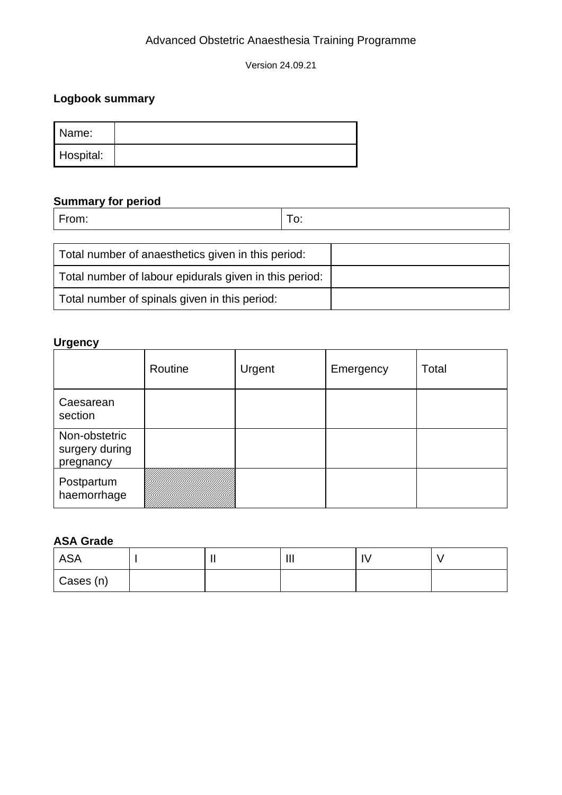Version 24.09.21

## <span id="page-20-0"></span>**Logbook summary**

| Name:     |  |
|-----------|--|
| Hospital: |  |

# **Summary for period**

From: To:

| Total number of anaesthetics given in this period:     |  |
|--------------------------------------------------------|--|
| Total number of labour epidurals given in this period: |  |
| Total number of spinals given in this period:          |  |

#### **Urgency**

|                                              | Routine | Urgent | Emergency | Total |
|----------------------------------------------|---------|--------|-----------|-------|
| Caesarean<br>section                         |         |        |           |       |
| Non-obstetric<br>surgery during<br>pregnancy |         |        |           |       |
| Postpartum<br>haemorrhage                    |         |        |           |       |

#### **ASA Grade**

| <b>ASA</b> | . . | $\mathbf{III}$ | 1 V |  |
|------------|-----|----------------|-----|--|
| Cases (n)  |     |                |     |  |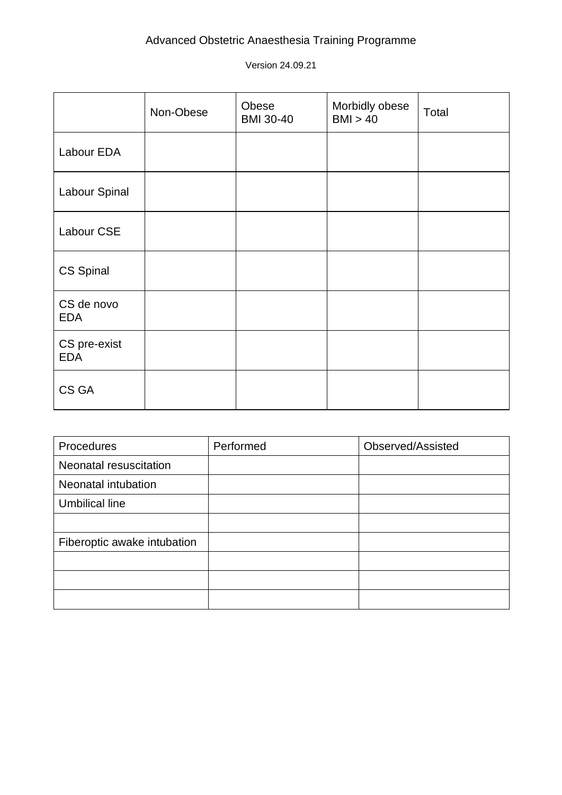|                            | Non-Obese | Obese<br><b>BMI 30-40</b> | Morbidly obese<br>BMI > 40 | Total |
|----------------------------|-----------|---------------------------|----------------------------|-------|
| Labour EDA                 |           |                           |                            |       |
| Labour Spinal              |           |                           |                            |       |
| Labour CSE                 |           |                           |                            |       |
| CS Spinal                  |           |                           |                            |       |
| CS de novo<br><b>EDA</b>   |           |                           |                            |       |
| CS pre-exist<br><b>EDA</b> |           |                           |                            |       |
| CS GA                      |           |                           |                            |       |

| Procedures                  | Performed | Observed/Assisted |
|-----------------------------|-----------|-------------------|
| Neonatal resuscitation      |           |                   |
| Neonatal intubation         |           |                   |
| <b>Umbilical line</b>       |           |                   |
|                             |           |                   |
| Fiberoptic awake intubation |           |                   |
|                             |           |                   |
|                             |           |                   |
|                             |           |                   |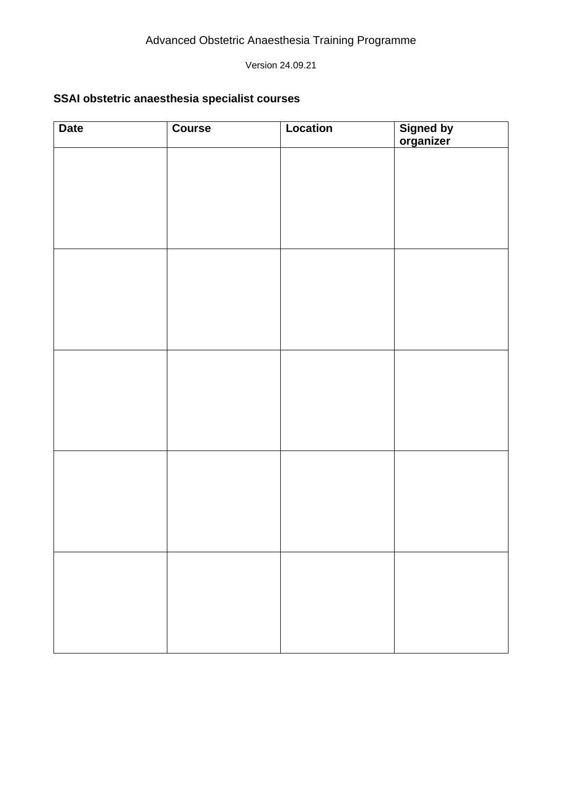#### <span id="page-22-0"></span>**SSAI obstetric anaesthesia specialist courses**

| <b>Date</b> | Course | Location | Signed by<br>organizer |
|-------------|--------|----------|------------------------|
|             |        |          |                        |
|             |        |          |                        |
|             |        |          |                        |
|             |        |          |                        |
|             |        |          |                        |
|             |        |          |                        |
|             |        |          |                        |
|             |        |          |                        |
|             |        |          |                        |
|             |        |          |                        |
|             |        |          |                        |
|             |        |          |                        |
|             |        |          |                        |
|             |        |          |                        |
|             |        |          |                        |
|             |        |          |                        |
|             |        |          |                        |
|             |        |          |                        |
|             |        |          |                        |
|             |        |          |                        |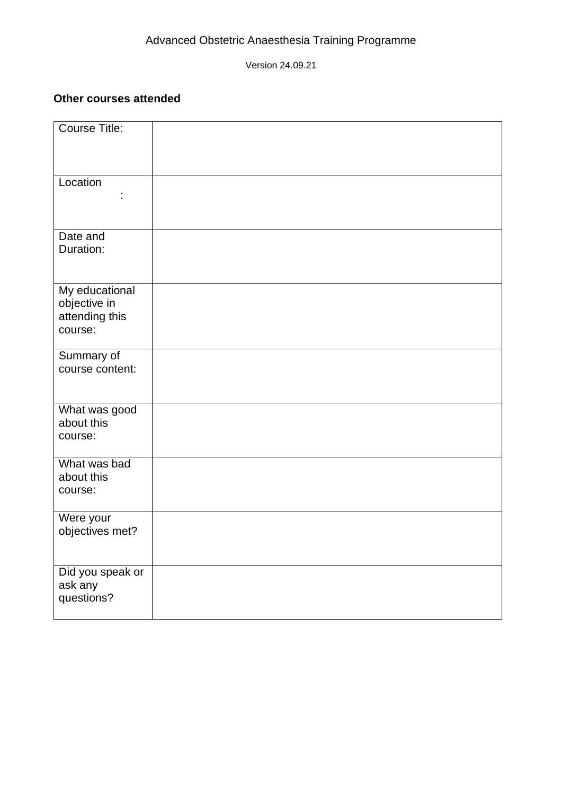#### <span id="page-23-0"></span>**Other courses attended**

| Course Title:                                               |  |
|-------------------------------------------------------------|--|
| Location                                                    |  |
| Date and<br>Duration:                                       |  |
| My educational<br>objective in<br>attending this<br>course: |  |
| Summary of<br>course content:                               |  |
| What was good<br>about this<br>course:                      |  |
| What was bad<br>about this<br>course:                       |  |
| Were your<br>objectives met?                                |  |
| Did you speak or<br>ask any<br>questions?                   |  |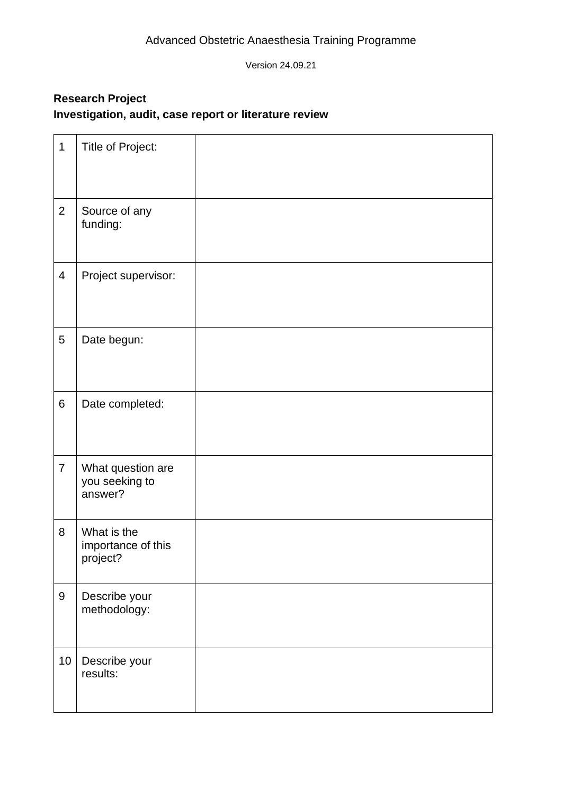## <span id="page-24-0"></span>**Research Project Investigation, audit, case report or literature review**

| $\mathbf 1$      | Title of Project:                              |  |
|------------------|------------------------------------------------|--|
| $\overline{2}$   | Source of any<br>funding:                      |  |
| $\overline{4}$   | Project supervisor:                            |  |
| 5                | Date begun:                                    |  |
| 6                | Date completed:                                |  |
| $\overline{7}$   | What question are<br>you seeking to<br>answer? |  |
| 8                | What is the<br>importance of this<br>project?  |  |
| $\boldsymbol{9}$ | Describe your<br>methodology:                  |  |
| 10               | Describe your<br>results:                      |  |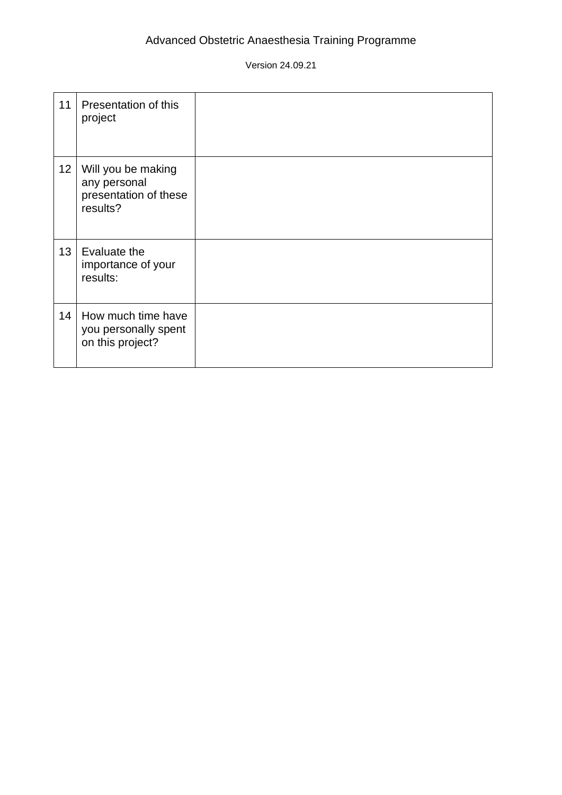| 11              | Presentation of this<br>project                                         |  |
|-----------------|-------------------------------------------------------------------------|--|
| 12              | Will you be making<br>any personal<br>presentation of these<br>results? |  |
| 13 <sup>2</sup> | Evaluate the<br>importance of your<br>results:                          |  |
| 14              | How much time have<br>you personally spent<br>on this project?          |  |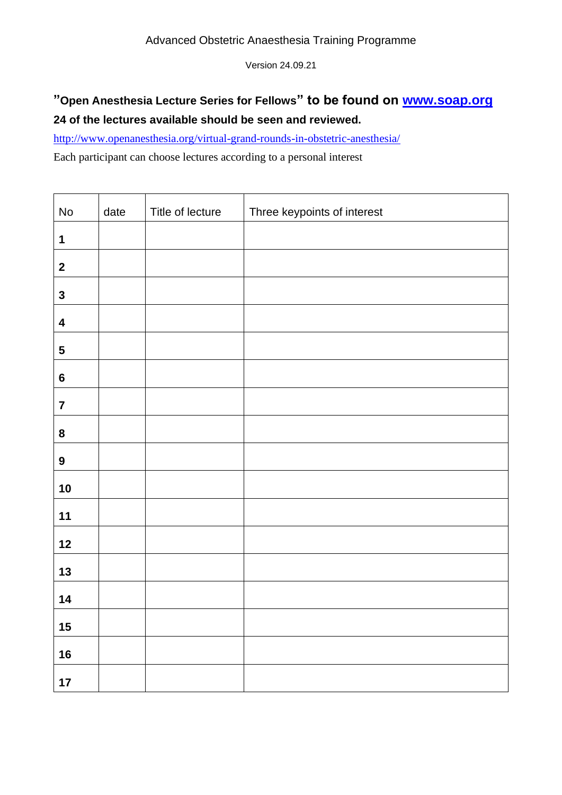## **"Open Anesthesia Lecture Series for Fellows" to be found on [www.soap.org](http://www.soap.org/) 24 of the lectures available should be seen and reviewed.**

<http://www.openanesthesia.org/virtual-grand-rounds-in-obstetric-anesthesia/>

Each participant can choose lectures according to a personal interest

| $\operatorname{\mathsf{No}}$ | date | Title of lecture | Three keypoints of interest |
|------------------------------|------|------------------|-----------------------------|
| 1                            |      |                  |                             |
| $\boldsymbol{2}$             |      |                  |                             |
| $\mathbf 3$                  |      |                  |                             |
| $\overline{\mathbf{4}}$      |      |                  |                             |
| $\sqrt{5}$                   |      |                  |                             |
| $\boldsymbol{6}$             |      |                  |                             |
| $\overline{7}$               |      |                  |                             |
| 8                            |      |                  |                             |
| $\boldsymbol{9}$             |      |                  |                             |
| 10                           |      |                  |                             |
| $11$                         |      |                  |                             |
| 12                           |      |                  |                             |
| 13                           |      |                  |                             |
| 14                           |      |                  |                             |
| 15                           |      |                  |                             |
| 16                           |      |                  |                             |
| $17$                         |      |                  |                             |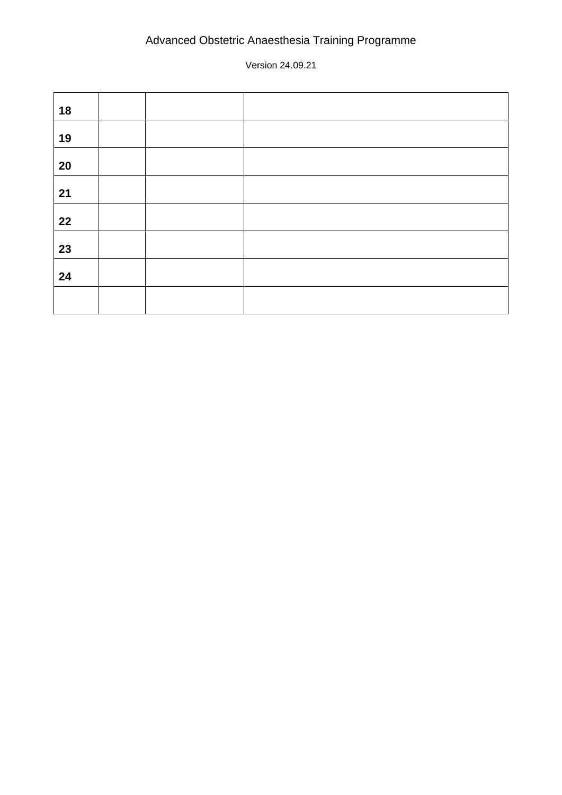| 18 |  |  |
|----|--|--|
| 19 |  |  |
| 20 |  |  |
| 21 |  |  |
| 22 |  |  |
| 23 |  |  |
| 24 |  |  |
|    |  |  |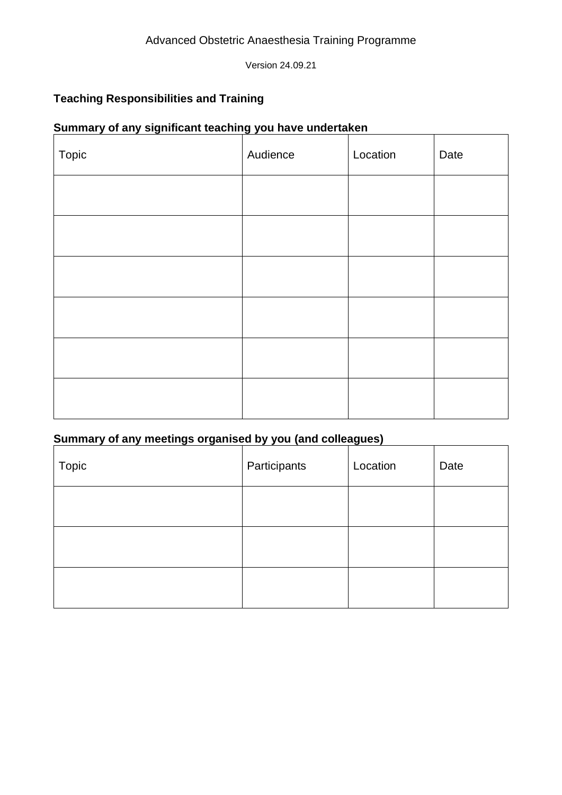## <span id="page-28-0"></span>**Teaching Responsibilities and Training**

#### **Summary of any significant teaching you have undertaken**

| Topic | Audience | Location | Date |
|-------|----------|----------|------|
|       |          |          |      |
|       |          |          |      |
|       |          |          |      |
|       |          |          |      |
|       |          |          |      |
|       |          |          |      |

# **Summary of any meetings organised by you (and colleagues)**

<span id="page-28-1"></span>

| Topic | Participants | Location | Date |
|-------|--------------|----------|------|
|       |              |          |      |
|       |              |          |      |
|       |              |          |      |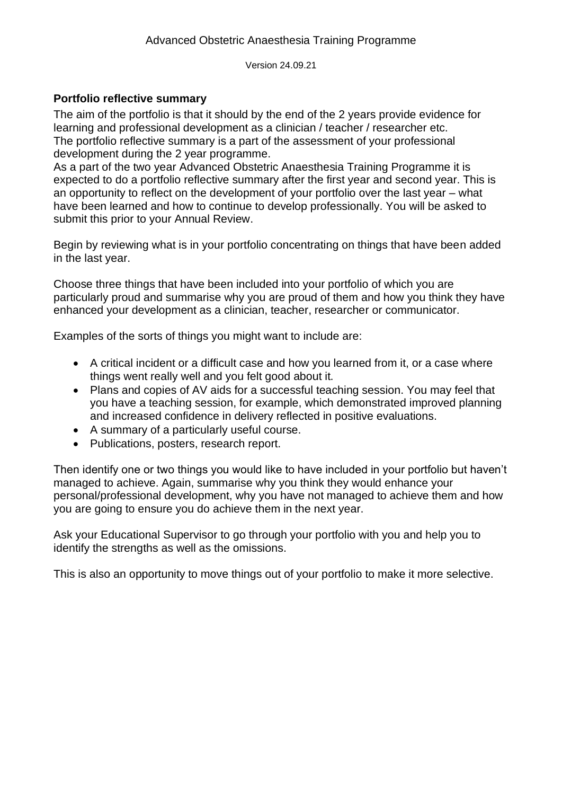#### **Portfolio reflective summary**

The aim of the portfolio is that it should by the end of the 2 years provide evidence for learning and professional development as a clinician / teacher / researcher etc. The portfolio reflective summary is a part of the assessment of your professional development during the 2 year programme.

As a part of the two year Advanced Obstetric Anaesthesia Training Programme it is expected to do a portfolio reflective summary after the first year and second year. This is an opportunity to reflect on the development of your portfolio over the last year – what have been learned and how to continue to develop professionally. You will be asked to submit this prior to your Annual Review.

Begin by reviewing what is in your portfolio concentrating on things that have been added in the last year.

Choose three things that have been included into your portfolio of which you are particularly proud and summarise why you are proud of them and how you think they have enhanced your development as a clinician, teacher, researcher or communicator.

Examples of the sorts of things you might want to include are:

- A critical incident or a difficult case and how you learned from it, or a case where things went really well and you felt good about it.
- Plans and copies of AV aids for a successful teaching session. You may feel that you have a teaching session, for example, which demonstrated improved planning and increased confidence in delivery reflected in positive evaluations.
- A summary of a particularly useful course.
- Publications, posters, research report.

Then identify one or two things you would like to have included in your portfolio but haven't managed to achieve. Again, summarise why you think they would enhance your personal/professional development, why you have not managed to achieve them and how you are going to ensure you do achieve them in the next year.

Ask your Educational Supervisor to go through your portfolio with you and help you to identify the strengths as well as the omissions.

This is also an opportunity to move things out of your portfolio to make it more selective.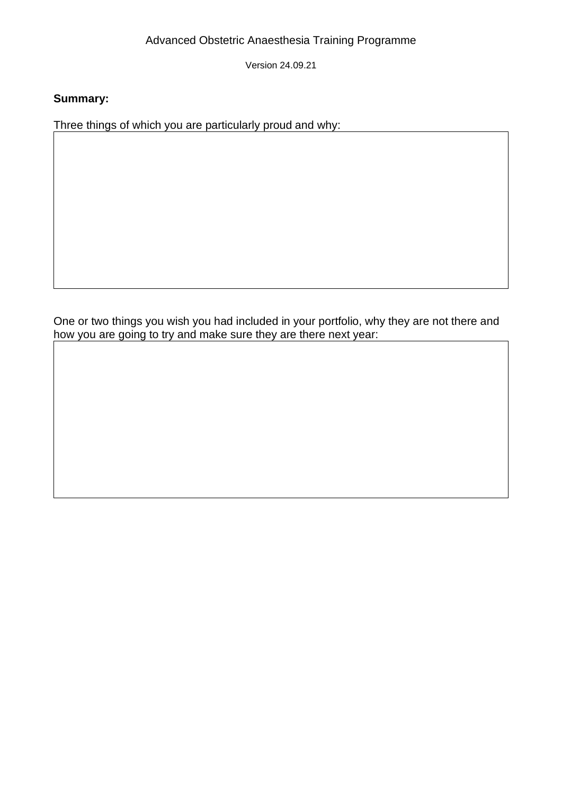Version 24.09.21

#### **Summary:**

Three things of which you are particularly proud and why:

One or two things you wish you had included in your portfolio, why they are not there and how you are going to try and make sure they are there next year: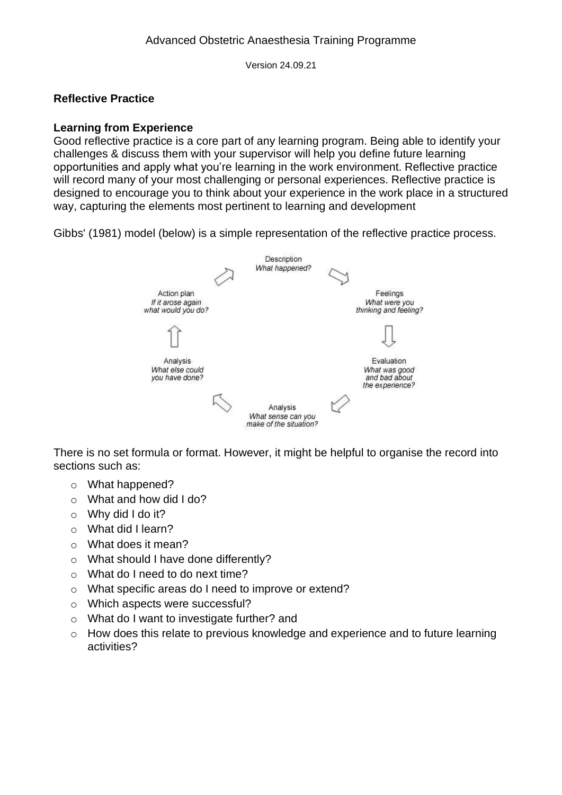#### <span id="page-31-0"></span>**Reflective Practice**

#### **Learning from Experience**

Good reflective practice is a core part of any learning program. Being able to identify your challenges & discuss them with your supervisor will help you define future learning opportunities and apply what you're learning in the work environment. Reflective practice will record many of your most challenging or personal experiences. Reflective practice is designed to encourage you to think about your experience in the work place in a structured way, capturing the elements most pertinent to learning and development

Gibbs' (1981) model (below) is a simple representation of the reflective practice process.



There is no set formula or format. However, it might be helpful to organise the record into sections such as:

- o What happened?
- o What and how did I do?
- $\circ$  Why did I do it?
- o What did I learn?
- o What does it mean?
- o What should I have done differently?
- o What do I need to do next time?
- o What specific areas do I need to improve or extend?
- o Which aspects were successful?
- o What do I want to investigate further? and
- o How does this relate to previous knowledge and experience and to future learning activities?